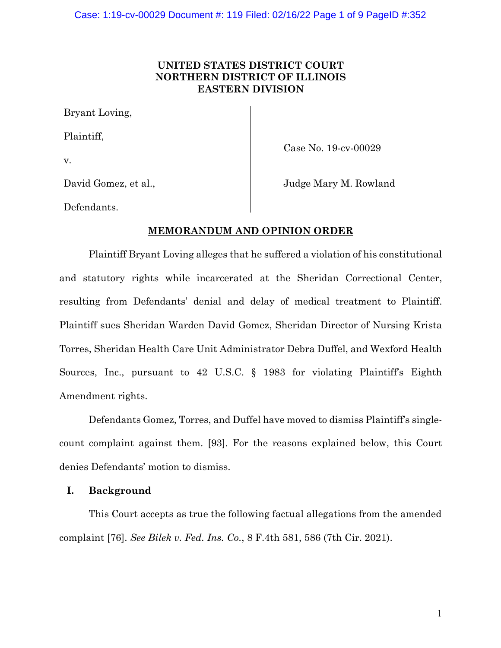## **UNITED STATES DISTRICT COURT NORTHERN DISTRICT OF ILLINOIS EASTERN DIVISION**

Bryant Loving,

Plaintiff,

v.

Case No. 19-cv-00029

David Gomez, et al.,

Judge Mary M. Rowland

Defendants.

## **MEMORANDUM AND OPINION ORDER**

Plaintiff Bryant Loving alleges that he suffered a violation of his constitutional and statutory rights while incarcerated at the Sheridan Correctional Center, resulting from Defendants' denial and delay of medical treatment to Plaintiff. Plaintiff sues Sheridan Warden David Gomez, Sheridan Director of Nursing Krista Torres, Sheridan Health Care Unit Administrator Debra Duffel, and Wexford Health Sources, Inc., pursuant to 42 U.S.C. § 1983 for violating Plaintiff's Eighth Amendment rights.

Defendants Gomez, Torres, and Duffel have moved to dismiss Plaintiff's singlecount complaint against them. [93]. For the reasons explained below, this Court denies Defendants' motion to dismiss.

## **I. Background**

This Court accepts as true the following factual allegations from the amended complaint [76]. *See Bilek v. Fed. Ins. Co.*, 8 F.4th 581, 586 (7th Cir. 2021).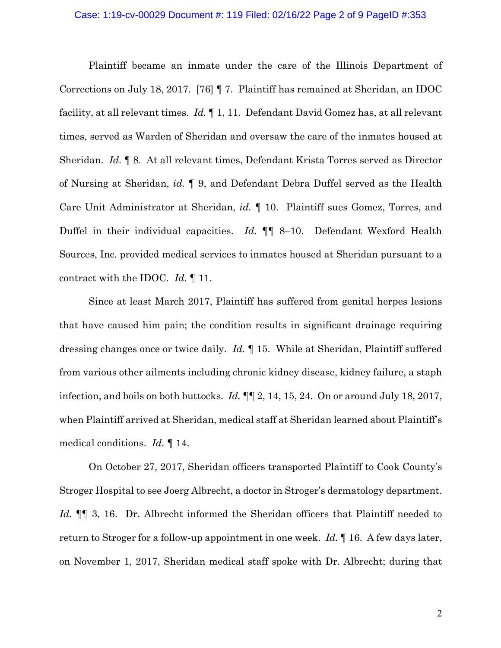#### Case: 1:19-cv-00029 Document #: 119 Filed: 02/16/22 Page 2 of 9 PageID #:353

Plaintiff became an inmate under the care of the Illinois Department of Corrections on July 18, 2017. [76] ¶ 7. Plaintiff has remained at Sheridan, an IDOC facility, at all relevant times. *Id.* ¶ 1, 11. Defendant David Gomez has, at all relevant times, served as Warden of Sheridan and oversaw the care of the inmates housed at Sheridan. *Id.* ¶ 8. At all relevant times, Defendant Krista Torres served as Director of Nursing at Sheridan, *id.* ¶ 9, and Defendant Debra Duffel served as the Health Care Unit Administrator at Sheridan, *id.* ¶ 10. Plaintiff sues Gomez, Torres, and Duffel in their individual capacities. *Id.* ¶¶ 8–10. Defendant Wexford Health Sources, Inc. provided medical services to inmates housed at Sheridan pursuant to a contract with the IDOC. *Id.* ¶ 11.

Since at least March 2017, Plaintiff has suffered from genital herpes lesions that have caused him pain; the condition results in significant drainage requiring dressing changes once or twice daily. *Id.* ¶ 15. While at Sheridan, Plaintiff suffered from various other ailments including chronic kidney disease, kidney failure, a staph infection, and boils on both buttocks. *Id.* ¶¶ 2, 14, 15, 24. On or around July 18, 2017, when Plaintiff arrived at Sheridan, medical staff at Sheridan learned about Plaintiff's medical conditions. *Id.* ¶ 14.

On October 27, 2017, Sheridan officers transported Plaintiff to Cook County's Stroger Hospital to see Joerg Albrecht, a doctor in Stroger's dermatology department. *Id.* ¶¶ 3, 16. Dr. Albrecht informed the Sheridan officers that Plaintiff needed to return to Stroger for a follow-up appointment in one week. *Id.* ¶ 16. A few days later, on November 1, 2017, Sheridan medical staff spoke with Dr. Albrecht; during that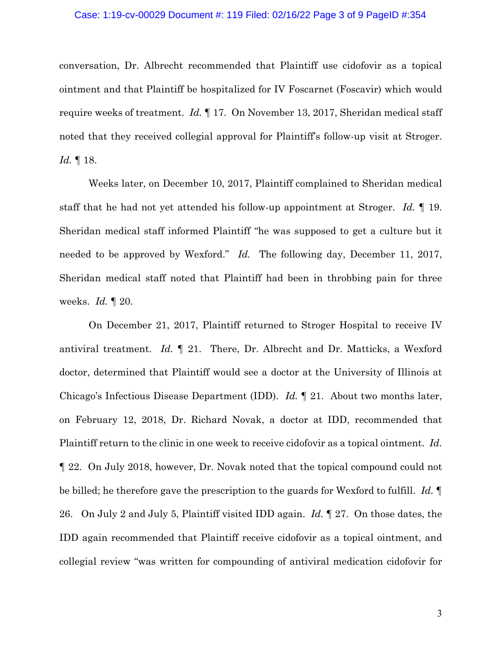#### Case: 1:19-cv-00029 Document #: 119 Filed: 02/16/22 Page 3 of 9 PageID #:354

conversation, Dr. Albrecht recommended that Plaintiff use cidofovir as a topical ointment and that Plaintiff be hospitalized for IV Foscarnet (Foscavir) which would require weeks of treatment. *Id.* ¶ 17. On November 13, 2017, Sheridan medical staff noted that they received collegial approval for Plaintiff's follow-up visit at Stroger. *Id.* ¶ 18.

Weeks later, on December 10, 2017, Plaintiff complained to Sheridan medical staff that he had not yet attended his follow-up appointment at Stroger. *Id.* ¶ 19. Sheridan medical staff informed Plaintiff "he was supposed to get a culture but it needed to be approved by Wexford." *Id.* The following day, December 11, 2017, Sheridan medical staff noted that Plaintiff had been in throbbing pain for three weeks. *Id.* ¶ 20.

On December 21, 2017, Plaintiff returned to Stroger Hospital to receive IV antiviral treatment. *Id.* ¶ 21. There, Dr. Albrecht and Dr. Matticks, a Wexford doctor, determined that Plaintiff would see a doctor at the University of Illinois at Chicago's Infectious Disease Department (IDD). *Id.* ¶ 21. About two months later, on February 12, 2018, Dr. Richard Novak, a doctor at IDD, recommended that Plaintiff return to the clinic in one week to receive cidofovir as a topical ointment. *Id.* ¶ 22. On July 2018, however, Dr. Novak noted that the topical compound could not be billed; he therefore gave the prescription to the guards for Wexford to fulfill. *Id.* ¶ 26. On July 2 and July 5, Plaintiff visited IDD again. *Id.* ¶ 27. On those dates, the IDD again recommended that Plaintiff receive cidofovir as a topical ointment, and collegial review "was written for compounding of antiviral medication cidofovir for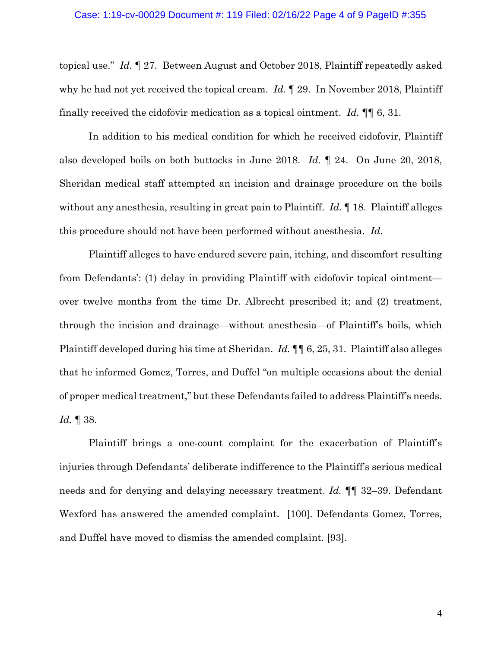topical use." *Id.* ¶ 27. Between August and October 2018, Plaintiff repeatedly asked why he had not yet received the topical cream. *Id.* ¶ 29. In November 2018, Plaintiff finally received the cidofovir medication as a topical ointment. *Id.* ¶¶ 6, 31.

In addition to his medical condition for which he received cidofovir, Plaintiff also developed boils on both buttocks in June 2018. *Id.* ¶ 24. On June 20, 2018, Sheridan medical staff attempted an incision and drainage procedure on the boils without any anesthesia, resulting in great pain to Plaintiff. *Id.* ¶ 18. Plaintiff alleges this procedure should not have been performed without anesthesia. *Id.*

Plaintiff alleges to have endured severe pain, itching, and discomfort resulting from Defendants': (1) delay in providing Plaintiff with cidofovir topical ointment over twelve months from the time Dr. Albrecht prescribed it; and (2) treatment, through the incision and drainage—without anesthesia—of Plaintiff's boils, which Plaintiff developed during his time at Sheridan. *Id.* ¶¶ 6, 25, 31. Plaintiff also alleges that he informed Gomez, Torres, and Duffel "on multiple occasions about the denial of proper medical treatment," but these Defendants failed to address Plaintiff's needs. *Id.* ¶ 38.

Plaintiff brings a one-count complaint for the exacerbation of Plaintiff's injuries through Defendants' deliberate indifference to the Plaintiff's serious medical needs and for denying and delaying necessary treatment. *Id.* ¶¶ 32–39. Defendant Wexford has answered the amended complaint. [100]. Defendants Gomez, Torres, and Duffel have moved to dismiss the amended complaint. [93].

4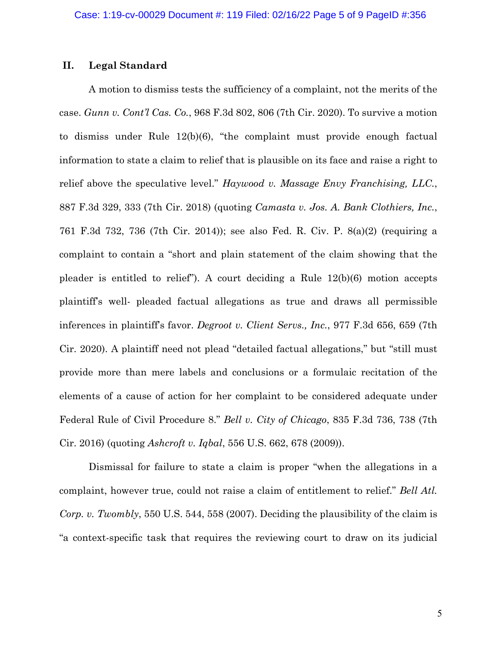#### **II. Legal Standard**

A motion to dismiss tests the sufficiency of a complaint, not the merits of the case. *Gunn v. Cont'l Cas. Co.*, 968 F.3d 802, 806 (7th Cir. 2020). To survive a motion to dismiss under Rule 12(b)(6), "the complaint must provide enough factual information to state a claim to relief that is plausible on its face and raise a right to relief above the speculative level." *Haywood v. Massage Envy Franchising, LLC.*, 887 F.3d 329, 333 (7th Cir. 2018) (quoting *Camasta v. Jos. A. Bank Clothiers, Inc.*, 761 F.3d 732, 736 (7th Cir. 2014)); see also Fed. R. Civ. P. 8(a)(2) (requiring a complaint to contain a "short and plain statement of the claim showing that the pleader is entitled to relief"). A court deciding a Rule 12(b)(6) motion accepts plaintiff's well- pleaded factual allegations as true and draws all permissible inferences in plaintiff's favor. *Degroot v. Client Servs., Inc.*, 977 F.3d 656, 659 (7th Cir. 2020). A plaintiff need not plead "detailed factual allegations," but "still must provide more than mere labels and conclusions or a formulaic recitation of the elements of a cause of action for her complaint to be considered adequate under Federal Rule of Civil Procedure 8." *Bell v. City of Chicago*, 835 F.3d 736, 738 (7th Cir. 2016) (quoting *Ashcroft v. Iqbal*, 556 U.S. 662, 678 (2009)).

Dismissal for failure to state a claim is proper "when the allegations in a complaint, however true, could not raise a claim of entitlement to relief." *Bell Atl. Corp. v. Twombly*, 550 U.S. 544, 558 (2007). Deciding the plausibility of the claim is "a context-specific task that requires the reviewing court to draw on its judicial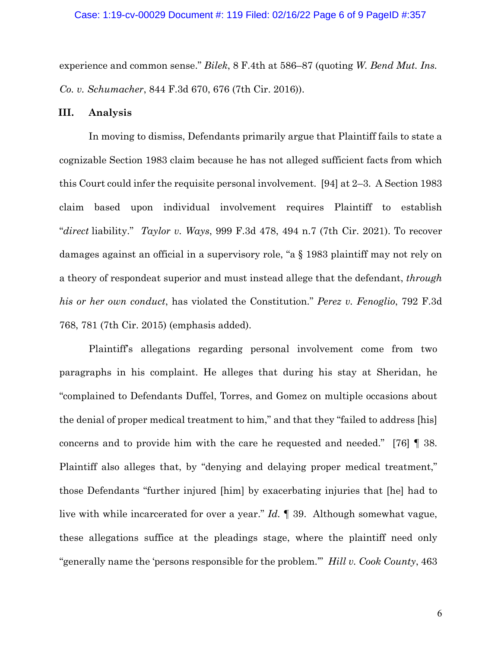experience and common sense." *Bilek*, 8 F.4th at 586–87 (quoting *W. Bend Mut. Ins. Co. v. Schumacher*, 844 F.3d 670, 676 (7th Cir. 2016)).

### **III. Analysis**

In moving to dismiss, Defendants primarily argue that Plaintiff fails to state a cognizable Section 1983 claim because he has not alleged sufficient facts from which this Court could infer the requisite personal involvement. [94] at 2–3. A Section 1983 claim based upon individual involvement requires Plaintiff to establish "*direct* liability." *Taylor v. Ways*, 999 F.3d 478, 494 n.7 (7th Cir. 2021). To recover damages against an official in a supervisory role, "a § 1983 plaintiff may not rely on a theory of respondeat superior and must instead allege that the defendant, *through his or her own conduct*, has violated the Constitution." *Perez v. Fenoglio*, 792 F.3d 768, 781 (7th Cir. 2015) (emphasis added).

Plaintiff's allegations regarding personal involvement come from two paragraphs in his complaint. He alleges that during his stay at Sheridan, he "complained to Defendants Duffel, Torres, and Gomez on multiple occasions about the denial of proper medical treatment to him," and that they "failed to address [his] concerns and to provide him with the care he requested and needed." [76] ¶ 38. Plaintiff also alleges that, by "denying and delaying proper medical treatment," those Defendants "further injured [him] by exacerbating injuries that [he] had to live with while incarcerated for over a year." *Id.* ¶ 39. Although somewhat vague, these allegations suffice at the pleadings stage, where the plaintiff need only "generally name the 'persons responsible for the problem.'" *Hill v. Cook County*, 463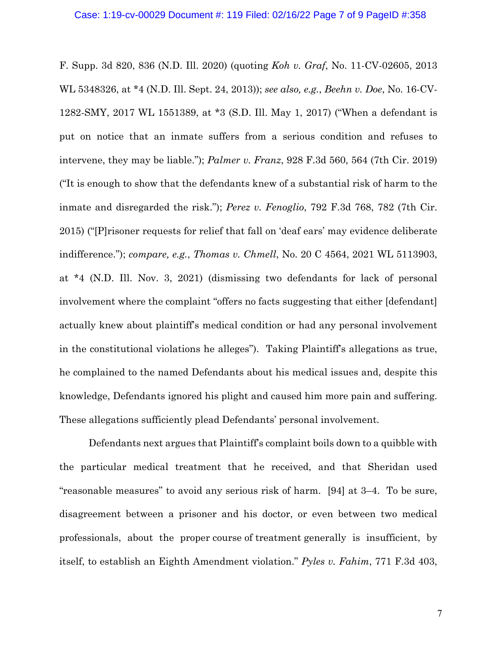F. Supp. 3d 820, 836 (N.D. Ill. 2020) (quoting *Koh v. Graf*, No. 11-CV-02605, 2013 WL 5348326, at \*4 (N.D. Ill. Sept. 24, 2013)); *see also, e.g.*, *Beehn v. Doe*, No. 16-CV-1282-SMY, 2017 WL 1551389, at \*3 (S.D. Ill. May 1, 2017) ("When a defendant is put on notice that an inmate suffers from a serious condition and refuses to intervene, they may be liable."); *Palmer v. Franz*, 928 F.3d 560, 564 (7th Cir. 2019) ("It is enough to show that the defendants knew of a substantial risk of harm to the inmate and disregarded the risk."); *Perez v. Fenoglio*, 792 F.3d 768, 782 (7th Cir. 2015) ("[P]risoner requests for relief that fall on 'deaf ears' may evidence deliberate indifference."); *compare, e.g.*, *Thomas v. Chmell*, No. 20 C 4564, 2021 WL 5113903, at \*4 (N.D. Ill. Nov. 3, 2021) (dismissing two defendants for lack of personal involvement where the complaint "offers no facts suggesting that either [defendant] actually knew about plaintiff's medical condition or had any personal involvement in the constitutional violations he alleges"). Taking Plaintiff's allegations as true, he complained to the named Defendants about his medical issues and, despite this knowledge, Defendants ignored his plight and caused him more pain and suffering. These allegations sufficiently plead Defendants' personal involvement.

Defendants next argues that Plaintiff's complaint boils down to a quibble with the particular medical treatment that he received, and that Sheridan used "reasonable measures" to avoid any serious risk of harm. [94] at 3–4. To be sure, disagreement between a prisoner and his doctor, or even between two medical professionals, about the proper course of treatment generally is insufficient, by itself, to establish an Eighth Amendment violation." *Pyles v. Fahim*, 771 F.3d 403,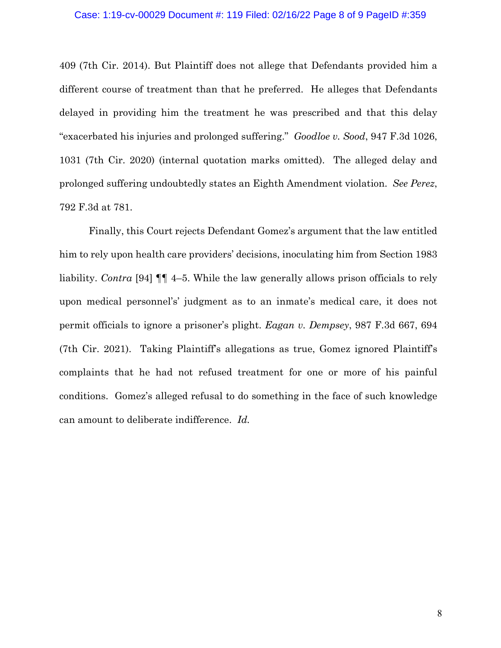#### Case: 1:19-cv-00029 Document #: 119 Filed: 02/16/22 Page 8 of 9 PageID #:359

409 (7th Cir. 2014). But Plaintiff does not allege that Defendants provided him a different course of treatment than that he preferred. He alleges that Defendants delayed in providing him the treatment he was prescribed and that this delay "exacerbated his injuries and prolonged suffering." *Goodloe v. Sood*, 947 F.3d 1026, 1031 (7th Cir. 2020) (internal quotation marks omitted). The alleged delay and prolonged suffering undoubtedly states an Eighth Amendment violation. *See Perez*, 792 F.3d at 781.

Finally, this Court rejects Defendant Gomez's argument that the law entitled him to rely upon health care providers' decisions, inoculating him from Section 1983 liability. *Contra* [94] ¶¶ 4–5. While the law generally allows prison officials to rely upon medical personnel's' judgment as to an inmate's medical care, it does not permit officials to ignore a prisoner's plight. *Eagan v. Dempsey*, 987 F.3d 667, 694 (7th Cir. 2021). Taking Plaintiff's allegations as true, Gomez ignored Plaintiff's complaints that he had not refused treatment for one or more of his painful conditions. Gomez's alleged refusal to do something in the face of such knowledge can amount to deliberate indifference. *Id.*